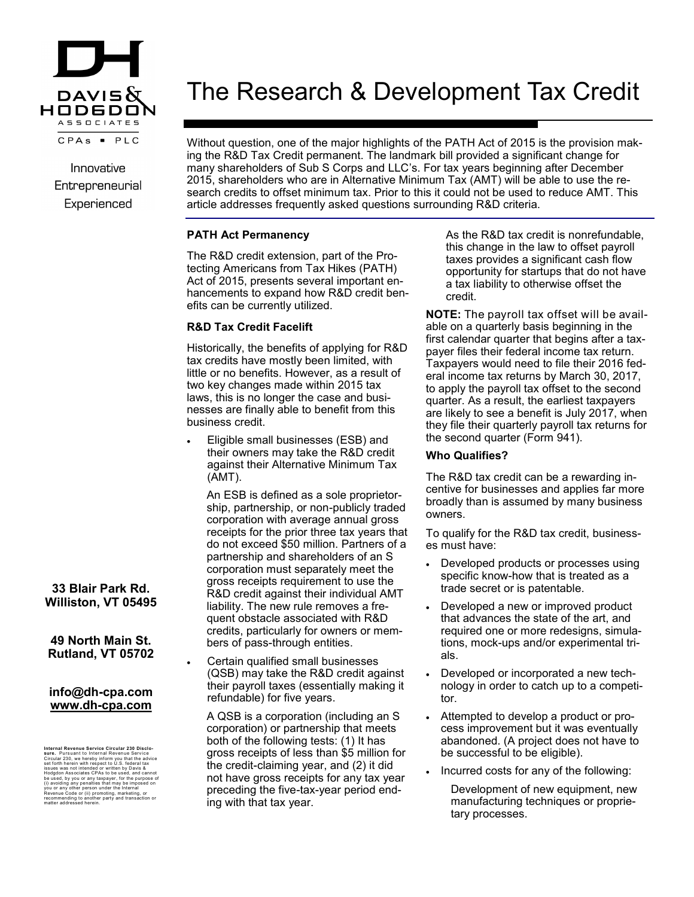

Innovative Entrepreneurial Experienced

# The Research & Development Tax Credit

Without question, one of the major highlights of the PATH Act of 2015 is the provision making the R&D Tax Credit permanent. The landmark bill provided a significant change for many shareholders of Sub S Corps and LLC's. For tax years beginning after December 2015, shareholders who are in Alternative Minimum Tax (AMT) will be able to use the research credits to offset minimum tax. Prior to this it could not be used to reduce AMT. This article addresses frequently asked questions surrounding R&D criteria.

# **PATH Act Permanency**

The R&D credit extension, part of the Protecting Americans from Tax Hikes (PATH) Act of 2015, presents several important enhancements to expand how R&D credit benefits can be currently utilized.

# **R&D Tax Credit Facelift**

Historically, the benefits of applying for R&D tax credits have mostly been limited, with little or no benefits. However, as a result of two key changes made within 2015 tax laws, this is no longer the case and businesses are finally able to benefit from this business credit.

 Eligible small businesses (ESB) and their owners may take the R&D credit against their Alternative Minimum Tax (AMT).

An ESB is defined as a sole proprietorship, partnership, or non-publicly traded corporation with average annual gross receipts for the prior three tax years that do not exceed \$50 million. Partners of a partnership and shareholders of an S corporation must separately meet the gross receipts requirement to use the R&D credit against their individual AMT liability. The new rule removes a frequent obstacle associated with R&D credits, particularly for owners or members of pass-through entities.

 Certain qualified small businesses (QSB) may take the R&D credit against their payroll taxes (essentially making it refundable) for five years.

A QSB is a corporation (including an S corporation) or partnership that meets both of the following tests: (1) It has gross receipts of less than \$5 million for the credit-claiming year, and (2) it did not have gross receipts for any tax year preceding the five-tax-year period ending with that tax year.

As the R&D tax credit is nonrefundable, this change in the law to offset payroll taxes provides a significant cash flow opportunity for startups that do not have a tax liability to otherwise offset the credit.

**NOTE:** The payroll tax offset will be available on a quarterly basis beginning in the first calendar quarter that begins after a taxpayer files their federal income tax return. Taxpayers would need to file their 2016 federal income tax returns by March 30, 2017, to apply the payroll tax offset to the second quarter. As a result, the earliest taxpayers are likely to see a benefit is July 2017, when they file their quarterly payroll tax returns for the second quarter (Form 941).

## **Who Qualifies?**

The R&D tax credit can be a rewarding incentive for businesses and applies far more broadly than is assumed by many business owners.

To qualify for the R&D tax credit, businesses must have:

- Developed products or processes using specific know-how that is treated as a trade secret or is patentable.
- Developed a new or improved product that advances the state of the art, and required one or more redesigns, simulations, mock-ups and/or experimental trials.
- Developed or incorporated a new technology in order to catch up to a competitor.
- Attempted to develop a product or process improvement but it was eventually abandoned. (A project does not have to be successful to be eligible).
- Incurred costs for any of the following:

Development of new equipment, new manufacturing techniques or proprietary processes.

# **33 Blair Park Rd. Williston, VT 05495**

# **49 North Main St. Rutland, VT 05702**

## **info@dh-cpa.com www.dh-cpa.com**

**Internal Revenue Service Circular 230 Disclo-<br><b>sure.** Pursuant to Internal Revenue Service<br>Circular 230, we hereby inform you that the advice<br>set forth herein with respect to U.S. federal tax issues was not intended or written by Davis &<br>Hodgdon Associates CPAs to be used, and cannot<br>be used, by you or any taxpayer, for the purpose of<br>(i) avoiding any penalties that may be imposed on<br>you or any other person und